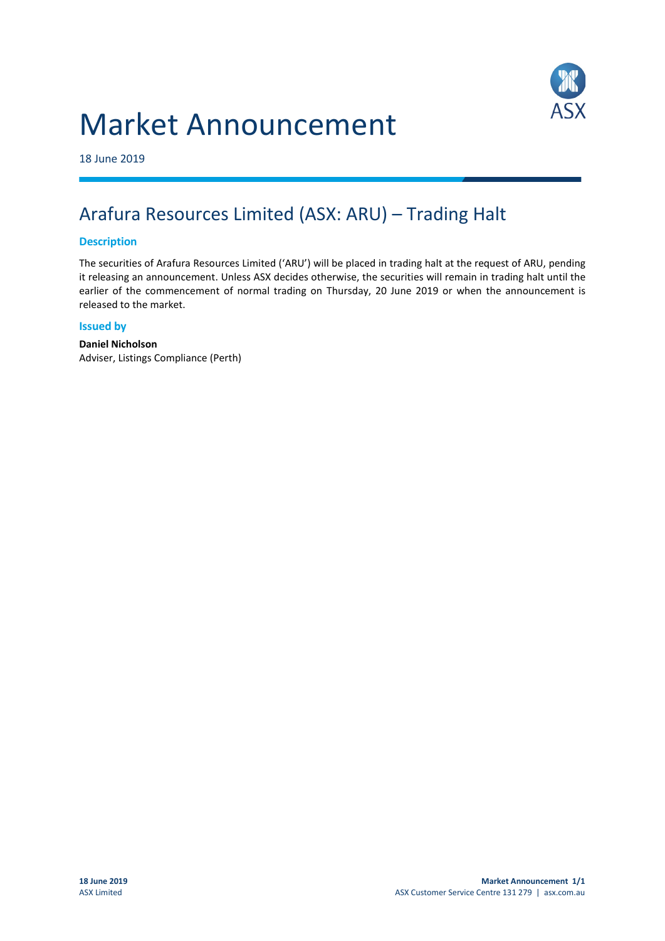# Market Announcement



18 June 2019

## Arafura Resources Limited (ASX: ARU) – Trading Halt

### **Description**

The securities of Arafura Resources Limited ('ARU') will be placed in trading halt at the request of ARU, pending it releasing an announcement. Unless ASX decides otherwise, the securities will remain in trading halt until the earlier of the commencement of normal trading on Thursday, 20 June 2019 or when the announcement is released to the market.

#### **Issued by**

**Daniel Nicholson** Adviser, Listings Compliance (Perth)